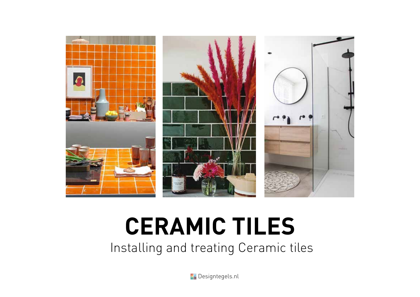

# **CERAMIC TILES**

Installing and treating Ceramic tiles

**Pr** Designtegels.nl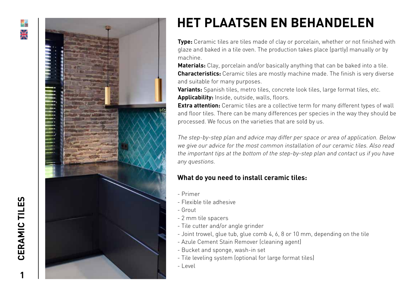



# **HET PLAATSEN EN BEHANDELEN**

**Type:** Ceramic tiles are tiles made of clay or porcelain, whether or not finished with glaze and baked in a tile oven. The production takes place (partly) manually or by machine.

**Materials:** Clay, porcelain and/or basically anything that can be baked into a tile. **Characteristics:** Ceramic tiles are mostly machine made. The finish is very diverse and suitable for many purposes.

**Variants:** Spanish tiles, metro tiles, concrete look tiles, large format tiles, etc. **Applicability:** Inside, outside, walls, floors.

**Extra attention:** Ceramic tiles are a collective term for many different types of wall and floor tiles. There can be many differences per species in the way they should be processed. We focus on the varieties that are sold by us.

The step-by-step plan and advice may differ per space or area of application. Below we give our advice for the most common installation of our ceramic tiles. Also read the important tips at the bottom of the step-by-step plan and contact us if you have any questions.

## **What do you need to install ceramic tiles:**

- Primer
- Flexible tile adhesive
- Grout
- 2 mm tile spacers
- Tile cutter and/or angle grinder
- Joint trowel, glue tub, glue comb 4, 6, 8 or 10 mm, depending on the tile
- Azule Cement Stain Remover (cleaning agent)
- Bucket and sponge, wash-in set
- Tile leveling system (optional for large format tiles)
- Level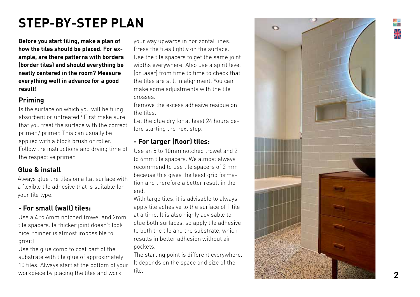# **STEP-BY-STEP PLAN**

**Before you start tiling, make a plan of how the tiles should be placed. For ex ample, are there patterns with borders (border tiles) and should everything be neatly centered in the room? Measure everything well in advance for a good result!**

## **Priming**

Is the surface on which you will be tiling absorbent or untreated? First make sure that you treat the surface with the correct primer / primer. This can usually be applied with a block brush or roller. Follow the instructions and drying time of the respective primer.

## **Glue & install**

Always glue the tiles on a flat surface with a flexible tile adhesive that is suitable for your tile type.

# **- For small (wall) tiles:**

Use a 4 to 6mm notched trowel and 2mm tile spacers. (a thicker joint doesn't look nice, thinner is almost impossible to grout)

Use the glue comb to coat part of the substrate with tile glue of approximately 10 tiles. Always start at the bottom of your workpiece by placing the tiles and work

your way upwards in horizontal lines. Press the tiles lightly on the surface. Use the tile spacers to get the same joint widths everywhere. Also use a spirit level (or laser) from time to time to check that the tiles are still in alignment. You can make some adjustments with the tile crosses.

Remove the excess adhesive residue on the tiles.

Let the glue dry for at least 24 hours be fore starting the next step.

## **- For larger (floor) tiles:**

Use an 8 to 10mm notched trowel and 2 to 4mm tile spacers. We almost always recommend to use tile spacers of 2 mm because this gives the least grid forma tion and therefore a better result in the end.

With large tiles, it is advisable to always apply tile adhesive to the surface of 1 tile at a time. It is also highly advisable to glue both surfaces, so apply tile adhesive to both the tile and the substrate, which results in better adhesion without air pockets.

The starting point is different everywhere. It depends on the space and size of the tile.

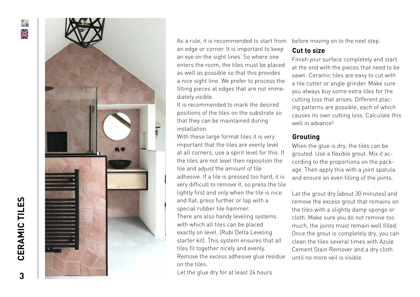



As a rule, it is recommended to start from an edge or corner. It is important to keep an eye on the sight lines. So where one enters the room, the tiles must be placed as well as possible so that this provides a nice sight line. We prefer to process the fitting pieces at edges that are not imme diately visible.

It is recommended to mark the desired positions of the tiles on the substrate so that they can be maintained during installation.

With these large format tiles it is very important that the tiles are evenly level at all corners, use a spirit level for this. If the tiles are not level then reposition the tile and adjust the amount of tile adhesive. If a tile is pressed too hard, it is very difficult to remove it, so press the tile lightly first and only when the tile is nice and flat, press further or tap with a special rubber tile hammer. There are also handy leveling systems with which all tiles can be placed exactly on level. (Rubi Delta Leveling starter kit). This system ensures that all tiles fit together nicely and evenly. Remove the excess adhesive glue residue on the tiles.

Let the glue dry for at least 24 hours

before moving on to the next step.

#### **Cut to size**

Finish your surface completely and start at the end with the pieces that need to be sawn. Ceramic tiles are easy to cut with a tile cutter or angle grinder. Make sure you always buy some extra tiles for the cutting loss that arises. Different plac ing patterns are possible, each of which causes its own cutting loss. Calculate this well in advance!

### **Grouting**

When the glue is dry, the tiles can be grouted. Use a flexible grout. Mix it ac cording to the proportions on the pack age. Then apply this with a joint spatula and ensure an even filling of the joints.

Let the grout dry (about 30 minutes) and remove the excess grout that remains on the tiles with a slightly damp sponge or cloth. Make sure you do not remove too much, the joints must remain well filled. Once the grout is completely dry, you can clean the tiles several times with Azule Cement Stain Remover and a dry cloth until no more veil is visible.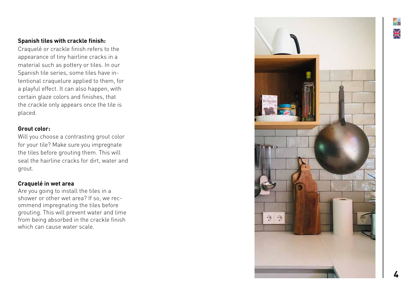#### **Spanish tiles with crackle finish:**

Craquelé or crackle finish refers to the appearance of tiny hairline cracks in a material such as pottery or tiles. In our Spanish tile series, some tiles have in tentional craquelure applied to them, for a playful effect. It can also happen, with certain glaze colors and finishes, that the crackle only appears once the tile is placed.

#### **Grout color:**

Will you choose a contrasting grout color for your tile? Make sure you impregnate the tiles before grouting them. This will seal the hairline cracks for dirt, water and grout.

#### **Craquelé in wet area**

Are you going to install the tiles in a shower or other wet area? If so, we rec ommend impregnating the tiles before grouting. This will prevent water and lime from being absorbed in the crackle finish which can cause water scale.

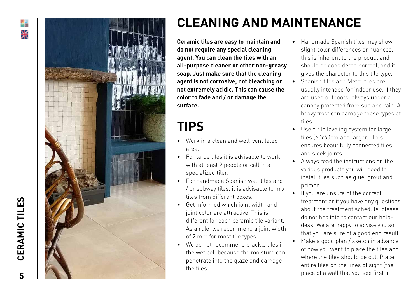



# **CLEANING AND MAINTENANCE**

**Ceramic tiles are easy to maintain and do not require any special cleaning agent. You can clean the tiles with an all-purpose cleaner or other non-greasy soap. Just make sure that the cleaning agent is not corrosive, not bleaching or not extremely acidic. This can cause the color to fade and / or damage the surface.**

# **TIPS**

- Work in a clean and well-ventilated area.
- For large tiles it is advisable to work with at least 2 people or call in a specialized tiler.
- For handmade Spanish wall tiles and / or subway tiles, it is advisable to mix tiles from different boxes.
- Get informed which joint width and joint color are attractive. This is different for each ceramic tile variant. As a rule, we recommend a joint width of 2 mm for most tile types.
- We do not recommend crackle tiles in the wet cell because the moisture can penetrate into the glaze and damage the tiles.
- Handmade Spanish tiles may show slight color differences or nuances, this is inherent to the product and should be considered normal, and it gives the character to this tile type.
- Spanish tiles and Metro tiles are usually intended for indoor use, if they are used outdoors, always under a canopy protected from sun and rain. A heavy frost can damage these types of tiles.
- Use a tile leveling system for large tiles (60x60cm and larger). This ensures beautifully connected tiles and sleek joints.
- Always read the instructions on the various products you will need to install tiles such as glue, grout and primer.
- If you are unsure of the correct treatment or if you have any questions about the treatment schedule, please do not hesitate to contact our help desk. We are happy to advise you so that you are sure of a good end result.
- Make a good plan / sketch in advance of how you want to place the tiles and where the tiles should be cut. Place entire tiles on the lines of sight (the place of a wall that you see first in